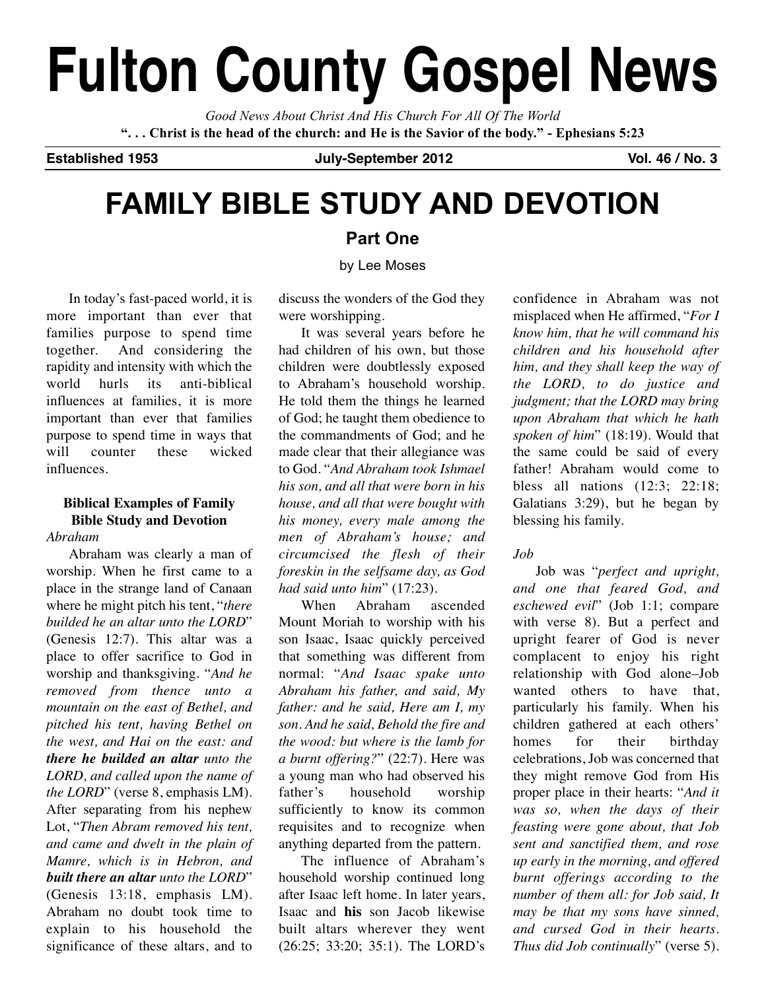# **Fulton County Gospel News**

*Good News About Christ And His Church For All Of The World* "... Christ is the head of the church: and He is the Savior of the body." - Ephesians 5:23

**Established 1953 July-September 2012 Vol. 46 / No. 3**

# **FAMILY BIBLE STUDY AND DEVOTION**

#### **Part One**

by Lee Moses

In today's fast-paced world, it is more important than ever that families purpose to spend time together. And considering the rapidity and intensity with which the world hurls its anti-biblical influences at families, it is more important than ever that families purpose to spend time in ways that will counter these wicked influences.

### **Biblical Examples of Family Bible Study and Devotion**

#### *Abraham*

Abraham was clearly a man of worship. When he first came to a place in the strange land of Canaan where he might pitch his tent, "*there builded he an altar unto the LORD*" (Genesis 12:7). This altar was a place to offer sacrifice to God in worship and thanksgiving. "*And he removed from thence unto a mountain on the east of Bethel, and pitched his tent, having Bethel on the west, and Hai on the east: and there he builded an altar unto the LORD, and called upon the name of the LORD*" (verse 8, emphasis LM). After separating from his nephew Lot, "*Then Abram removed his tent, and came and dwelt in the plain of Mamre, which is in Hebron, and built there an altar unto the LORD*" (Genesis 13:18, emphasis LM). Abraham no doubt took time to explain to his household the significance of these altars, and to discuss the wonders of the God they were worshipping.

It was several years before he had children of his own, but those children were doubtlessly exposed to Abraham's household worship. He told them the things he learned of God; he taught them obedience to the commandments of God; and he made clear that their allegiance was to God. "*And Abraham took Ishmael his son, and all that were born in his house, and all that were bought with his money, every male among the men of Abraham's house; and circumcised the flesh of their foreskin in the selfsame day, as God had said unto him*" (17:23).

When Abraham ascended Mount Moriah to worship with his son Isaac, Isaac quickly perceived that something was different from normal: "*And Isaac spake unto Abraham his father, and said, My father: and he said, Here am I, my son. And he said, Behold the fire and the wood: but where is the lamb for a burnt offering?*" (22:7). Here was a young man who had observed his father's household worship sufficiently to know its common requisites and to recognize when anything departed from the pattern.

The influence of Abraham's household worship continued long after Isaac left home. In later years, Isaac and **his** son Jacob likewise built altars wherever they went (26:25; 33:20; 35:1). The LORD's

confidence in Abraham was not misplaced when He affirmed, "*For I know him, that he will command his children and his household after him, and they shall keep the way of the LORD, to do justice and judgment; that the LORD may bring upon Abraham that which he hath spoken of him*" (18:19). Would that the same could be said of every father! Abraham would come to bless all nations (12:3; 22:18; Galatians 3:29), but he began by blessing his family.

#### *Job*

Job was "*perfect and upright, and one that feared God, and eschewed evil*" (Job 1:1; compare with verse 8). But a perfect and upright fearer of God is never complacent to enjoy his right relationship with God alone–Job wanted others to have that particularly his family. When his children gathered at each others' homes for their birthday celebrations, Job was concerned that they might remove God from His proper place in their hearts: "*And it was so, when the days of their feasting were gone about, that Job sent and sanctified them, and rose up early in the morning, and offered burnt offerings according to the number of them all: for Job said, It may be that my sons have sinned, and cursed God in their hearts. Thus did Job continually*" (verse 5).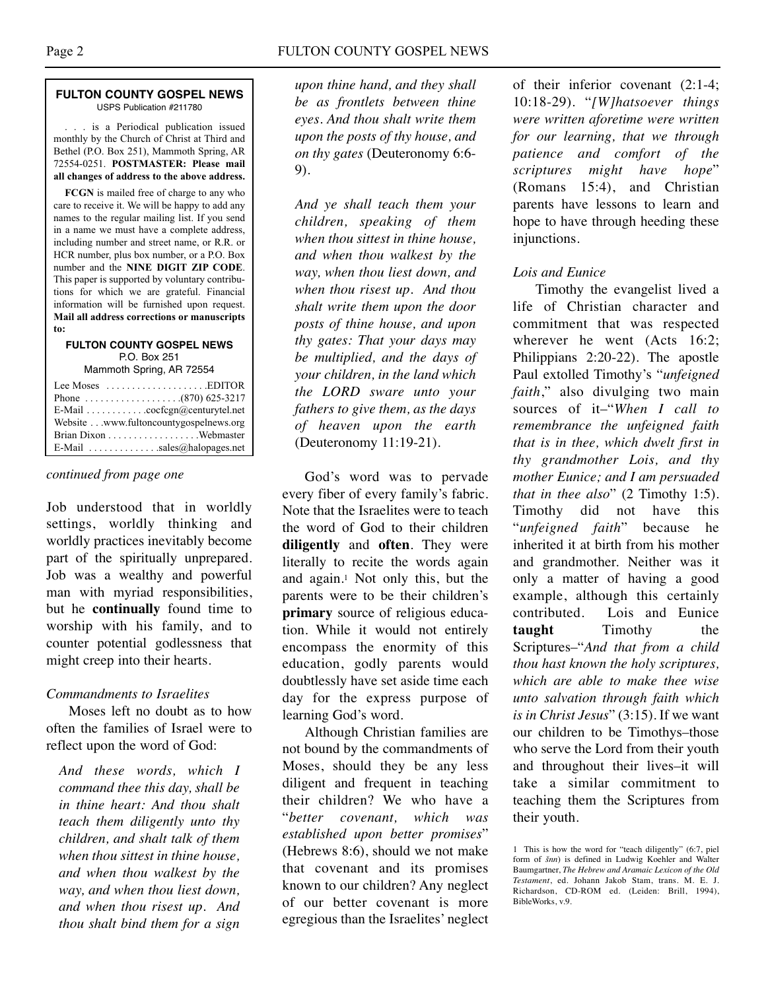#### **FULTON COUNTY GOSPEL NEWS** USPS Publication #211780

. . . is a Periodical publication issued monthly by the Church of Christ at Third and Bethel (P.O. Box 251), Mammoth Spring, AR 72554-0251. **POSTMASTER: Please mail all changes of address to the above address.**

**FCGN** is mailed free of charge to any who care to receive it. We will be happy to add any names to the regular mailing list. If you send in a name we must have a complete address, including number and street name, or R.R. or HCR number, plus box number, or a P.O. Box number and the **NINE DIGIT ZIP CODE**. This paper is supported by voluntary contributions for which we are grateful. Financial information will be furnished upon request. **Mail all address corrections or manuscripts to:**

#### **FULTON COUNTY GOSPEL NEWS** P.O. Box 251

Mammoth Spring, AR 72554

| Lee Moses $\dots\dots\dots\dots\dots\dots$ . EDITOR |  |
|-----------------------------------------------------|--|
|                                                     |  |
| E-Mail cocfcgn@centurytel.net                       |  |
| Website www.fultoncountygospelnews.org              |  |
|                                                     |  |
| E-Mail $\ldots$ sales@halopages.net                 |  |

#### *continued from page one*

Job understood that in worldly settings, worldly thinking and worldly practices inevitably become part of the spiritually unprepared. Job was a wealthy and powerful man with myriad responsibilities, but he **continually** found time to worship with his family, and to counter potential godlessness that might creep into their hearts.

#### *Commandments to Israelites*

Moses left no doubt as to how often the families of Israel were to reflect upon the word of God:

*And these words, which I command thee this day, shall be in thine heart: And thou shalt teach them diligently unto thy children, and shalt talk of them when thou sittest in thine house, and when thou walkest by the way, and when thou liest down, and when thou risest up. And thou shalt bind them for a sign*

*upon thine hand, and they shall be as frontlets between thine eyes. And thou shalt write them upon the posts of thy house, and on thy gates* (Deuteronomy 6:6- 9).

*And ye shall teach them your children, speaking of them when thou sittest in thine house, and when thou walkest by the way, when thou liest down, and when thou risest up. And thou shalt write them upon the door posts of thine house, and upon thy gates: That your days may be multiplied, and the days of your children, in the land which the LORD sware unto your fathers to give them, as the days of heaven upon the earth* (Deuteronomy 11:19-21).

God's word was to pervade every fiber of every family's fabric. Note that the Israelites were to teach the word of God to their children **diligently** and **often**. They were literally to recite the words again and again.1 Not only this, but the parents were to be their children's **primary** source of religious education. While it would not entirely encompass the enormity of this education, godly parents would doubtlessly have set aside time each day for the express purpose of learning God's word.

Although Christian families are not bound by the commandments of Moses, should they be any less diligent and frequent in teaching their children? We who have a "*better covenant, which was established upon better promises*" (Hebrews 8:6), should we not make that covenant and its promises known to our children? Any neglect of our better covenant is more egregious than the Israelites' neglect

of their inferior covenant (2:1-4; 10:18-29). "*[W]hatsoever things were written aforetime were written for our learning, that we through patience and comfort of the scriptures might have hope*" (Romans 15:4), and Christian parents have lessons to learn and hope to have through heeding these injunctions.

#### *Lois and Eunice*

Timothy the evangelist lived a life of Christian character and commitment that was respected wherever he went (Acts 16:2; Philippians 2:20-22). The apostle Paul extolled Timothy's "*unfeigned faith*," also divulging two main sources of it–"*When I call to remembrance the unfeigned faith that is in thee, which dwelt first in thy grandmother Lois, and thy mother Eunice; and I am persuaded that in thee also*" (2 Timothy 1:5). Timothy did not have this "*unfeigned faith*" because he inherited it at birth from his mother and grandmother. Neither was it only a matter of having a good example, although this certainly contributed. Lois and Eunice **taught** Timothy the Scriptures–"*And that from a child thou hast known the holy scriptures, which are able to make thee wise unto salvation through faith which is in Christ Jesus*" (3:15). If we want our children to be Timothys–those who serve the Lord from their youth and throughout their lives–it will take a similar commitment to teaching them the Scriptures from their youth.

<sup>1</sup> This is how the word for "teach diligently" (6:7, piel form of *šnn*) is defined in Ludwig Koehler and Walter Baumgartner, *The Hebrew and Aramaic Lexicon of the Old Testament*, ed. Johann Jakob Stam, trans. M. E. J. Richardson, CD-ROM ed. (Leiden: Brill, 1994), BibleWorks, v.9.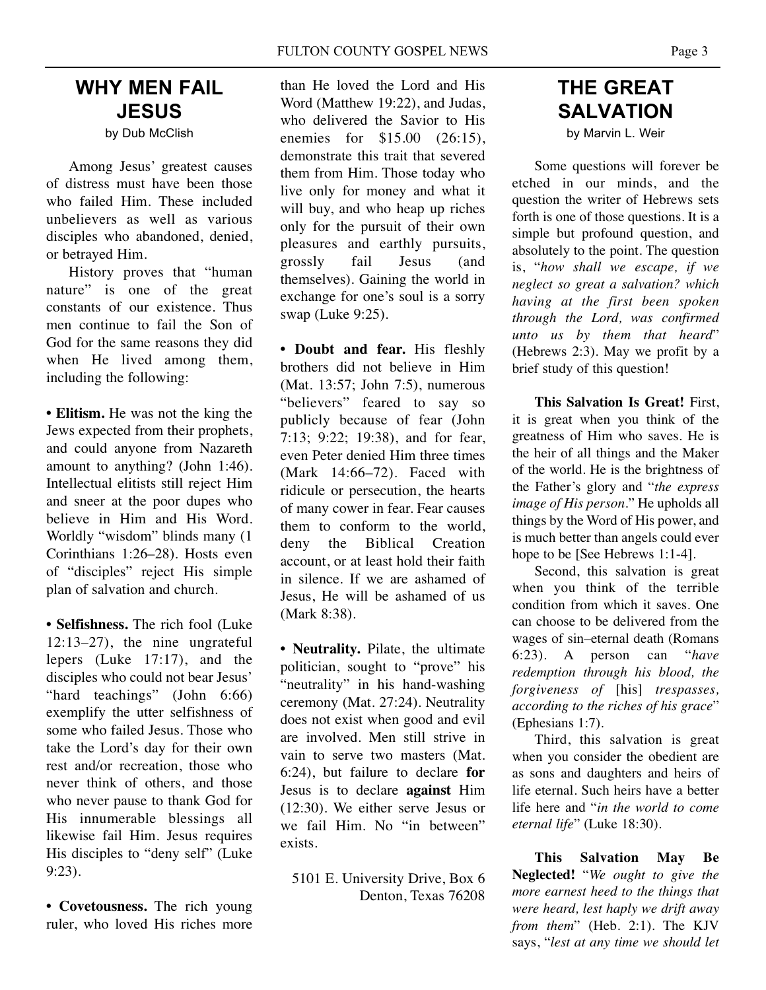# **WHY MEN FAIL JESUS**

by Dub McClish

Among Jesus' greatest causes of distress must have been those who failed Him. These included unbelievers as well as various disciples who abandoned, denied, or betrayed Him.

History proves that "human nature" is one of the great constants of our existence. Thus men continue to fail the Son of God for the same reasons they did when He lived among them, including the following:

**• Elitism.** He was not the king the Jews expected from their prophets, and could anyone from Nazareth amount to anything? (John 1:46). Intellectual elitists still reject Him and sneer at the poor dupes who believe in Him and His Word. Worldly "wisdom" blinds many (1 Corinthians 1:26–28). Hosts even of "disciples" reject His simple plan of salvation and church.

**• Selfishness.** The rich fool (Luke 12:13–27), the nine ungrateful lepers (Luke 17:17), and the disciples who could not bear Jesus' "hard teachings" (John 6:66) exemplify the utter selfishness of some who failed Jesus. Those who take the Lord's day for their own rest and/or recreation, those who never think of others, and those who never pause to thank God for His innumerable blessings all likewise fail Him. Jesus requires His disciples to "deny self" (Luke 9:23).

**• Covetousness.** The rich young ruler, who loved His riches more than He loved the Lord and His Word (Matthew 19:22), and Judas, who delivered the Savior to His enemies for \$15.00 (26:15), demonstrate this trait that severed them from Him. Those today who live only for money and what it will buy, and who heap up riches only for the pursuit of their own pleasures and earthly pursuits, grossly fail Jesus (and themselves). Gaining the world in exchange for one's soul is a sorry swap (Luke 9:25).

**• Doubt and fear.** His fleshly brothers did not believe in Him (Mat. 13:57; John 7:5), numerous "believers" feared to say so publicly because of fear (John 7:13; 9:22; 19:38), and for fear, even Peter denied Him three times (Mark 14:66–72). Faced with ridicule or persecution, the hearts of many cower in fear. Fear causes them to conform to the world, deny the Biblical Creation account, or at least hold their faith in silence. If we are ashamed of Jesus, He will be ashamed of us (Mark 8:38).

**• Neutrality.** Pilate, the ultimate politician, sought to "prove" his "neutrality" in his hand-washing ceremony (Mat. 27:24). Neutrality does not exist when good and evil are involved. Men still strive in vain to serve two masters (Mat. 6:24), but failure to declare **for** Jesus is to declare **against** Him (12:30). We either serve Jesus or we fail Him. No "in between" exists.

5101 E. University Drive, Box 6 Denton, Texas 76208

# **THE GREAT SALVATION**

by Marvin L. Weir

Some questions will forever be etched in our minds, and the question the writer of Hebrews sets forth is one of those questions. It is a simple but profound question, and absolutely to the point. The question is, "*how shall we escape, if we neglect so great a salvation? which having at the first been spoken through the Lord, was confirmed unto us by them that heard*" (Hebrews 2:3). May we profit by a brief study of this question!

**This Salvation Is Great!** First, it is great when you think of the greatness of Him who saves. He is the heir of all things and the Maker of the world. He is the brightness of the Father's glory and "*the express image of His person*." He upholds all things by the Word of His power, and is much better than angels could ever hope to be [See Hebrews 1:1-4].

Second, this salvation is great when you think of the terrible condition from which it saves. One can choose to be delivered from the wages of sin–eternal death (Romans 6:23). A person can "*have redemption through his blood, the forgiveness of* [his] *trespasses, according to the riches of his grace*" (Ephesians 1:7).

Third, this salvation is great when you consider the obedient are as sons and daughters and heirs of life eternal. Such heirs have a better life here and "*in the world to come eternal life*" (Luke 18:30).

**This Salvation May Be Neglected!** "*We ought to give the more earnest heed to the things that were heard, lest haply we drift away from them*" (Heb. 2:1). The KJV says, "*lest at any time we should let*